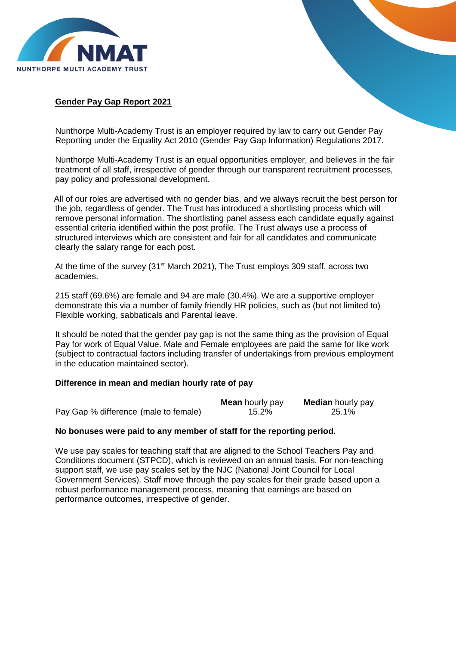

## **Gender Pay Gap Report 2021**

Nunthorpe Multi-Academy Trust is an employer required by law to carry out Gender Pay Reporting under the Equality Act 2010 (Gender Pay Gap Information) Regulations 2017.

Nunthorpe Multi-Academy Trust is an equal opportunities employer, and believes in the fair treatment of all staff, irrespective of gender through our transparent recruitment processes, pay policy and professional development.

All of our roles are advertised with no gender bias, and we always recruit the best person for the job, regardless of gender. The Trust has introduced a shortlisting process which will remove personal information. The shortlisting panel assess each candidate equally against essential criteria identified within the post profile. The Trust always use a process of structured interviews which are consistent and fair for all candidates and communicate clearly the salary range for each post.

At the time of the survey (31<sup>st</sup> March 2021), The Trust employs 309 staff, across two academies.

215 staff (69.6%) are female and 94 are male (30.4%). We are a supportive employer demonstrate this via a number of family friendly HR policies, such as (but not limited to) Flexible working, sabbaticals and Parental leave.

It should be noted that the gender pay gap is not the same thing as the provision of Equal Pay for work of Equal Value. Male and Female employees are paid the same for like work (subject to contractual factors including transfer of undertakings from previous employment in the education maintained sector).

## **Difference in mean and median hourly rate of pay**

|                                       | <b>Mean</b> hourly pay | <b>Median</b> hourly pay |
|---------------------------------------|------------------------|--------------------------|
| Pay Gap % difference (male to female) | 15.2%                  | 25.1%                    |

## **No bonuses were paid to any member of staff for the reporting period.**

We use pay scales for teaching staff that are aligned to the School Teachers Pay and Conditions document (STPCD), which is reviewed on an annual basis. For non-teaching support staff, we use pay scales set by the NJC (National Joint Council for Local Government Services). Staff move through the pay scales for their grade based upon a robust performance management process, meaning that earnings are based on performance outcomes, irrespective of gender.